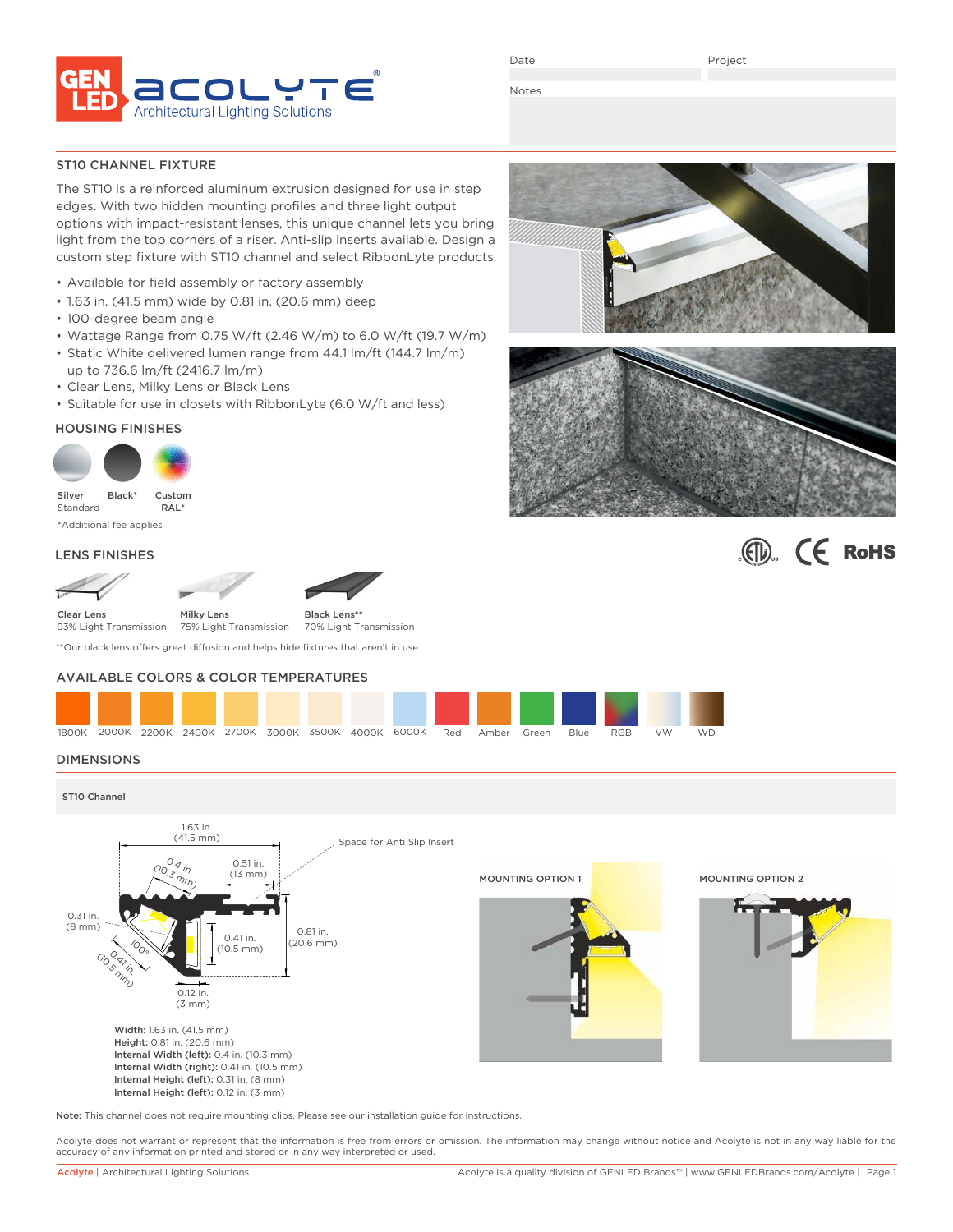

Date

Project

Notes

### ST10 CHANNEL FIXTURE

The ST10 is a reinforced aluminum extrusion designed for use in step edges. With two hidden mounting profiles and three light output options with impact-resistant lenses, this unique channel lets you bring light from the top corners of a riser. Anti-slip inserts available. Design a custom step fixture with ST10 channel and select RibbonLyte products.

- Available for field assembly or factory assembly
- 1.63 in. (41.5 mm) wide by 0.81 in. (20.6 mm) deep
- 100-degree beam angle
- Wattage Range from 0.75 W/ft (2.46 W/m) to 6.0 W/ft (19.7 W/m)
- Static White delivered lumen range from 44.1 lm/ft (144.7 lm/m) up to 736.6 lm/ft (2416.7 lm/m)
- Clear Lens, Milky Lens or Black Lens
- Suitable for use in closets with RibbonLyte (6.0 W/ft and less)

# HOUSING FINISHES





### LENS FINISHES



\*\*Our black lens offers great diffusion and helps hide fixtures that aren't in use.

# AVAILABLE COLORS & COLOR TEMPERATURES



# **DIMENSIONS**



Note: This channel does not require mounting clips. Please see our installation guide for instructions.

Acolyte does not warrant or represent that the information is free from errors or omission. The information may change without notice and Acolyte is not in any way liable for the accuracy of any information printed and stored or in any way interpreted or used.



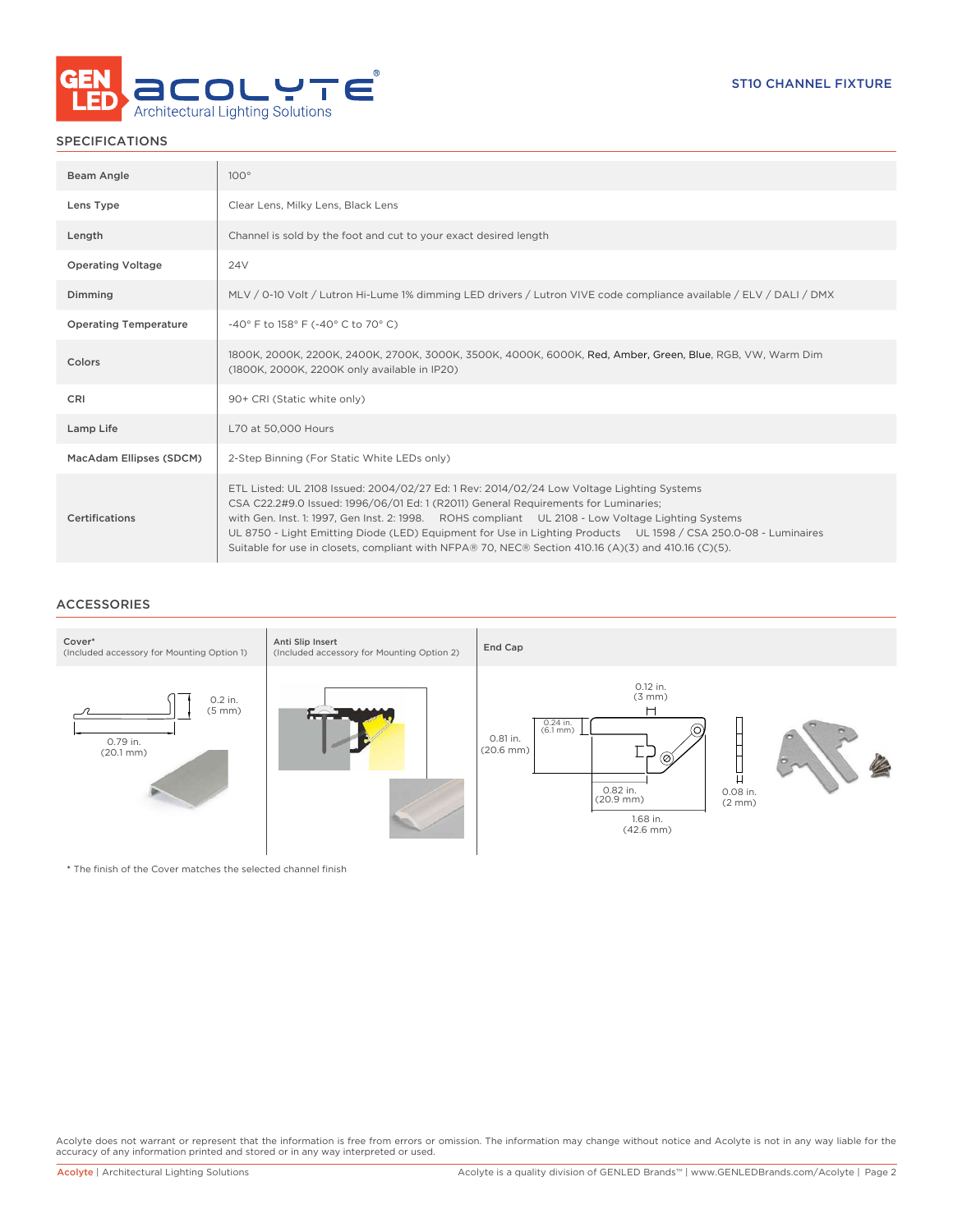

# SPECIFICATIONS

| Beam Angle                   | $100^\circ$                                                                                                                                                                                                                                                                                                                                                                                                                                                                                                     |
|------------------------------|-----------------------------------------------------------------------------------------------------------------------------------------------------------------------------------------------------------------------------------------------------------------------------------------------------------------------------------------------------------------------------------------------------------------------------------------------------------------------------------------------------------------|
| Lens Type                    | Clear Lens, Milky Lens, Black Lens                                                                                                                                                                                                                                                                                                                                                                                                                                                                              |
| Length                       | Channel is sold by the foot and cut to your exact desired length                                                                                                                                                                                                                                                                                                                                                                                                                                                |
| <b>Operating Voltage</b>     | 24 <sub>V</sub>                                                                                                                                                                                                                                                                                                                                                                                                                                                                                                 |
| Dimming                      | MLV / 0-10 Volt / Lutron Hi-Lume 1% dimming LED drivers / Lutron VIVE code compliance available / ELV / DALI / DMX                                                                                                                                                                                                                                                                                                                                                                                              |
| <b>Operating Temperature</b> | -40° F to 158° F (-40° C to 70° C)                                                                                                                                                                                                                                                                                                                                                                                                                                                                              |
| Colors                       | 1800K, 2000K, 2200K, 2400K, 2700K, 3000K, 3500K, 4000K, 6000K, Red, Amber, Green, Blue, RGB, VW, Warm Dim<br>(1800K, 2000K, 2200K only available in IP20)                                                                                                                                                                                                                                                                                                                                                       |
| CRI                          | 90+ CRI (Static white only)                                                                                                                                                                                                                                                                                                                                                                                                                                                                                     |
| Lamp Life                    | L70 at 50,000 Hours                                                                                                                                                                                                                                                                                                                                                                                                                                                                                             |
| MacAdam Ellipses (SDCM)      | 2-Step Binning (For Static White LEDs only)                                                                                                                                                                                                                                                                                                                                                                                                                                                                     |
| Certifications               | ETL Listed: UL 2108 Issued: 2004/02/27 Ed: 1 Rev: 2014/02/24 Low Voltage Lighting Systems<br>CSA C22.2#9.0 Issued: 1996/06/01 Ed: 1 (R2011) General Requirements for Luminaries;<br>with Gen. Inst. 1: 1997, Gen Inst. 2: 1998. ROHS compliant UL 2108 - Low Voltage Lighting Systems<br>UL 8750 - Light Emitting Diode (LED) Equipment for Use in Lighting Products UL 1598 / CSA 250.0-08 - Luminaires<br>Suitable for use in closets, compliant with NFPA® 70, NEC® Section 410.16 (A)(3) and 410.16 (C)(5). |

# ACCESSORIES



\* The finish of the Cover matches the selected channel finish

Acolyte does not warrant or represent that the information is free from errors or omission. The information may change without notice and Acolyte is not in any way liable for the<br>accuracy of any information printed and sto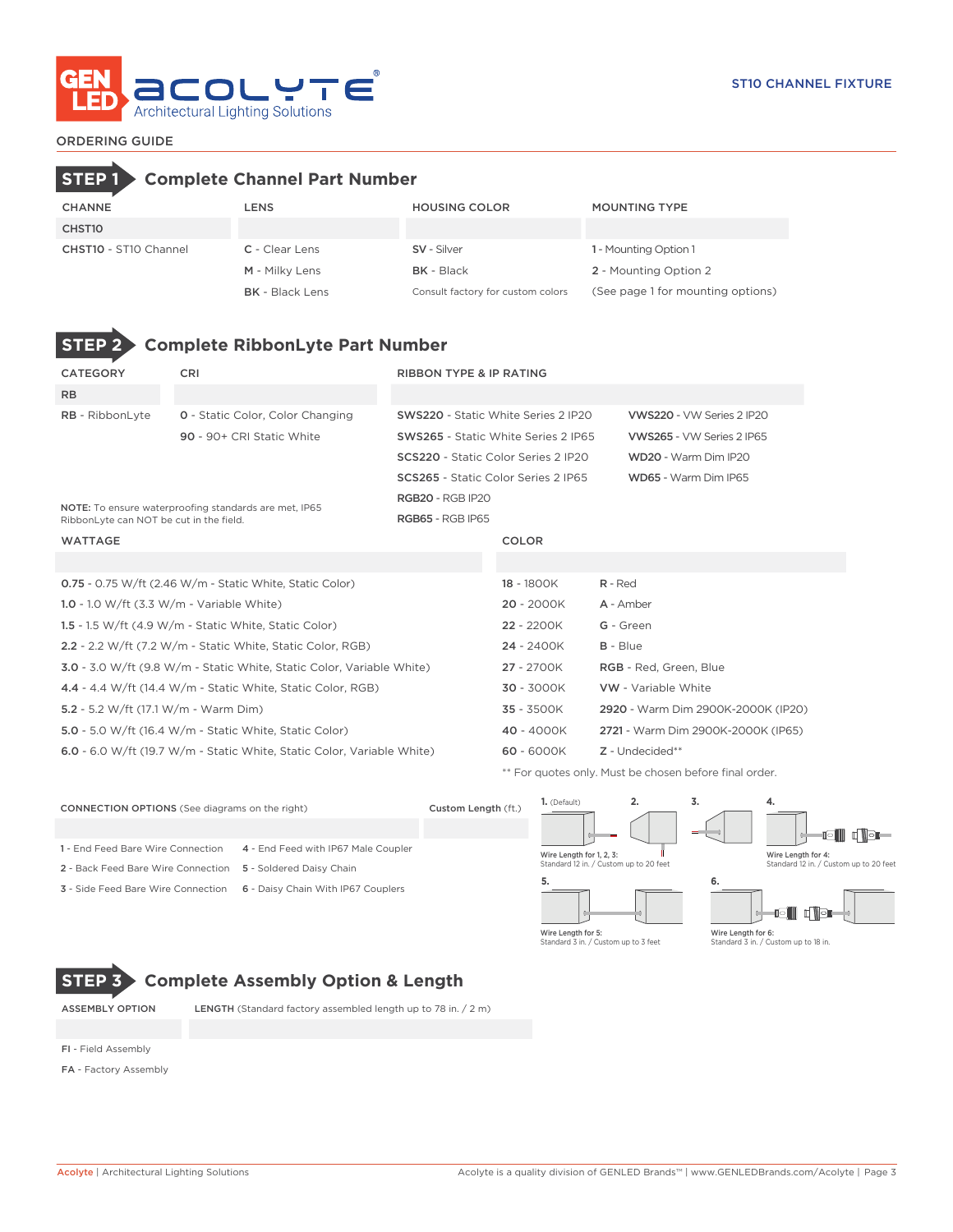

# ORDERING GUIDE

# CHANNE LENS HOUSING COLOR MOUNTING TYPE CHST10 CHST10 - ST10 Channel C - Clear Lens SV - Silver SV - Street CHST10 - ST10 Channel M - Milky Lens BK - Black 2 - Mounting Option 2 BK - Black Lens Consult factory for custom colors (See page 1 for mounting options) **STEP 1 Complete Channel Part Number**



# **STEP 2 Complete RibbonLyte Part Number**

| <b>CATEGORY</b>                             | <b>CRI</b>                                                                   | <b>RIBBON TYPE &amp; IP RATING</b>         |                                            |                                                        |  |  |  |
|---------------------------------------------|------------------------------------------------------------------------------|--------------------------------------------|--------------------------------------------|--------------------------------------------------------|--|--|--|
| <b>RB</b>                                   |                                                                              |                                            |                                            |                                                        |  |  |  |
| RB - RibbonLyte                             | <b>0</b> - Static Color, Color Changing                                      | <b>SWS220 - Static White Series 2 IP20</b> |                                            | VWS220 - VW Series 2 IP20                              |  |  |  |
|                                             | 90 - 90+ CRI Static White                                                    |                                            | <b>SWS265 - Static White Series 2 IP65</b> | VWS265 - VW Series 2 IP65                              |  |  |  |
|                                             |                                                                              | SCS220 - Static Color Series 2 IP20        |                                            | WD20 - Warm Dim IP20                                   |  |  |  |
|                                             |                                                                              | <b>SCS265</b> - Static Color Series 2 IP65 |                                            | WD65 - Warm Dim IP65                                   |  |  |  |
|                                             | NOTE: To ensure waterproofing standards are met, IP65                        | <b>RGB20 - RGB IP20</b>                    |                                            |                                                        |  |  |  |
| RibbonLyte can NOT be cut in the field.     |                                                                              | <b>RGB65 - RGB IP65</b>                    |                                            |                                                        |  |  |  |
| <b>WATTAGE</b>                              |                                                                              |                                            | <b>COLOR</b>                               |                                                        |  |  |  |
|                                             |                                                                              |                                            |                                            |                                                        |  |  |  |
|                                             | 0.75 - 0.75 W/ft (2.46 W/m - Static White, Static Color)                     |                                            | 18 - 1800K                                 | $R - Red$                                              |  |  |  |
| 1.0 - 1.0 W/ft $(3.3 W/m - Variable White)$ |                                                                              |                                            | $20 - 2000K$                               | A - Amber                                              |  |  |  |
|                                             | 1.5 - 1.5 W/ft $(4.9 \text{ W/m}$ - Static White, Static Color)              |                                            | 22 - 2200K                                 | G - Green                                              |  |  |  |
|                                             | 2.2 - 2.2 W/ft (7.2 W/m - Static White, Static Color, RGB)                   |                                            | 24 - 2400K                                 | $B - Blue$                                             |  |  |  |
|                                             | <b>3.0</b> - 3.0 W/ft (9.8 W/m - Static White, Static Color, Variable White) |                                            | 27 - 2700K                                 | RGB - Red, Green, Blue                                 |  |  |  |
|                                             | 4.4 - 4.4 W/ft (14.4 W/m - Static White, Static Color, RGB)                  |                                            | 30 - 3000K                                 | <b>VW</b> - Variable White                             |  |  |  |
| 5.2 - 5.2 W/ft (17.1 W/m - Warm Dim)        |                                                                              |                                            | 35 - 3500K                                 | 2920 - Warm Dim 2900K-2000K (IP20)                     |  |  |  |
|                                             | <b>5.0</b> - 5.0 W/ft (16.4 W/m - Static White, Static Color)                |                                            | 40 - 4000K                                 | 2721 - Warm Dim 2900K-2000K (IP65)                     |  |  |  |
|                                             | 6.0 - 6.0 W/ft (19.7 W/m - Static White, Static Color, Variable White)       |                                            | $60 - 6000K$                               | Z - Undecided**                                        |  |  |  |
|                                             |                                                                              |                                            |                                            | ** For quotes only. Must be chosen before final order. |  |  |  |

**1.** (Default) **2. 3. 4.** CONNECTION OPTIONS (See diagrams on the right) Custom Length (ft.) igili dige 1 - End Feed Bare Wire Connection 4 - End Feed with IP67 Male Coupler Wire Length for 1, 2, 3: Wire Length for 4: Standard 12 in. / Custom up to 20 feet Standard 12 in. / Custom up to 20 feet 2 - Back Feed Bare Wire Connection 5 - Soldered Daisy Chain **5. 6.** 3 - Side Feed Bare Wire Connection 6 - Daisy Chain With IP67 Couplers d Vər Wire Length for 5: Wire Length for 6: Standard 3 in. / Custom up to 3 feet Standard 3 in. / Custom up to 18 in.

**STEP 3 Complete Assembly Option & Length**

ASSEMBLY OPTION LENGTH (Standard factory assembled length up to 78 in. / 2 m)

FI - Field Assembly

FA - Factory Assembly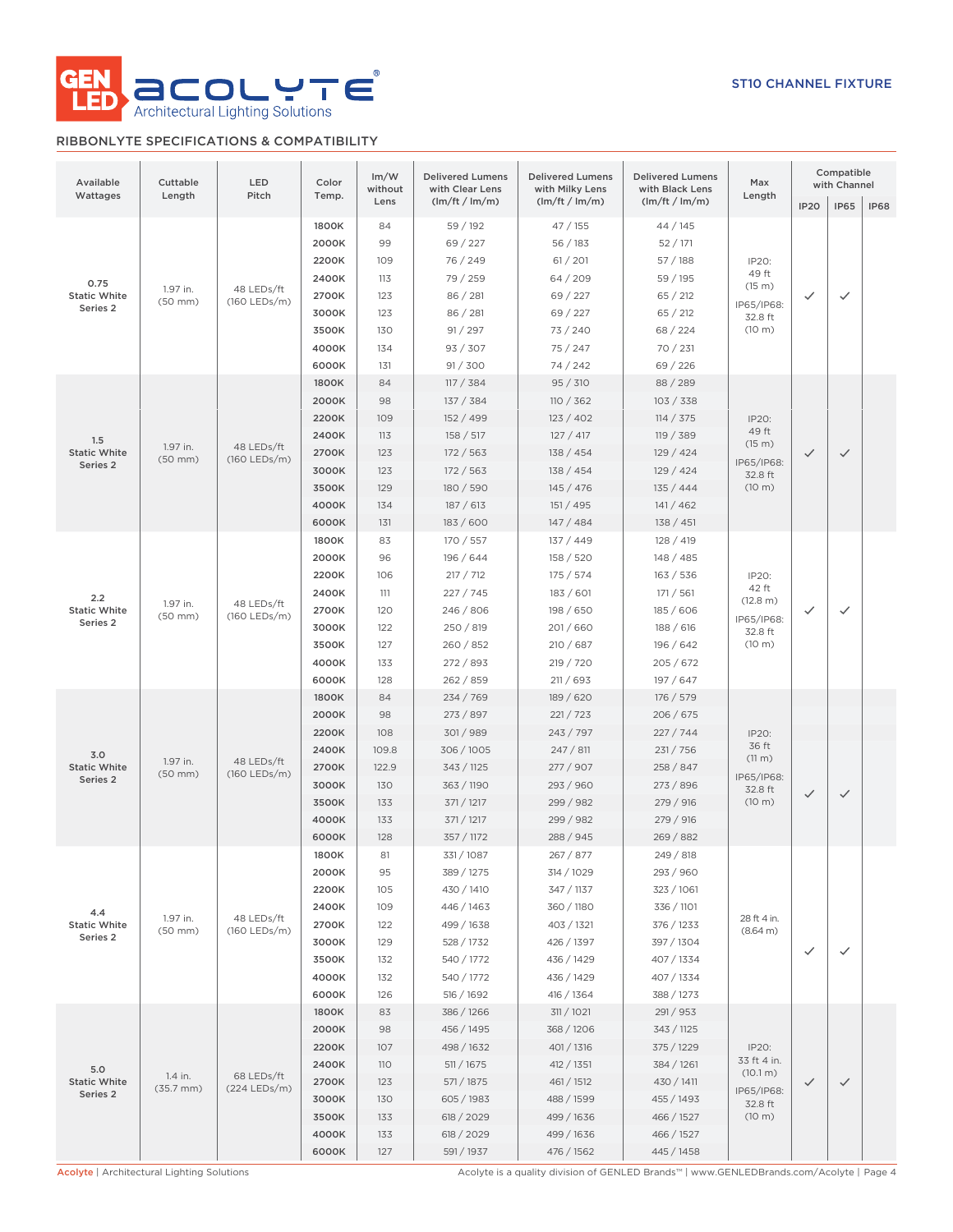

# RIBBONLYTE SPECIFICATIONS & COMPATIBILITY

| Available<br>Wattages                              | Cuttable<br>Length        | LED<br>Pitch               | Color<br>Temp.                                                                | Im/W<br>without                                                  | <b>Delivered Lumens</b><br>with Clear Lens                                                                                 | <b>Delivered Lumens</b><br>with Milky Lens                                                                                | <b>Delivered Lumens</b><br>with Black Lens                                                                                | Max<br>Length                                                       | Compatible<br>with Channel |              |             |
|----------------------------------------------------|---------------------------|----------------------------|-------------------------------------------------------------------------------|------------------------------------------------------------------|----------------------------------------------------------------------------------------------------------------------------|---------------------------------------------------------------------------------------------------------------------------|---------------------------------------------------------------------------------------------------------------------------|---------------------------------------------------------------------|----------------------------|--------------|-------------|
|                                                    |                           |                            |                                                                               | Lens                                                             | (lm/ft / lm/m)                                                                                                             | (lm/ft / lm/m)                                                                                                            | (lm/ft / lm/m)                                                                                                            |                                                                     | <b>IP20</b>                | <b>IP65</b>  | <b>IP68</b> |
| 0.75<br><b>Static White</b><br>Series <sub>2</sub> | 1.97 in.<br>$(50$ mm $)$  | 48 LEDs/ft<br>(160 LEDs/m) | 1800K<br>2000K<br>2200K<br>2400K<br>2700K<br>3000K<br>3500K<br>4000K<br>6000K | 84<br>99<br>109<br>113<br>123<br>123<br>130<br>134<br>131        | 59 / 192<br>69 / 227<br>76 / 249<br>79 / 259<br>86 / 281<br>86 / 281<br>91 / 297<br>93 / 307<br>91 / 300                   | 47 / 155<br>56 / 183<br>61 / 201<br>64/209<br>69 / 227<br>69 / 227<br>73/240<br>75/247<br>74/242                          | 44/145<br>52/171<br>57 / 188<br>59 / 195<br>65 / 212<br>65 / 212<br>68 / 224<br>70 / 231<br>69 / 226                      | IP20:<br>49 ft<br>(15 m)<br>IP65/IP68:<br>32.8 ft<br>(10 m)         | ✓                          | $\checkmark$ |             |
| 1.5<br><b>Static White</b><br>Series 2             | 1.97 in.<br>$(50$ mm $)$  | 48 LEDs/ft<br>(160 LEDs/m) | 1800K<br>2000K<br>2200K<br>2400K<br>2700K<br>3000K<br>3500K<br>4000K<br>6000K | 84<br>98<br>109<br>113<br>123<br>123<br>129<br>134<br>131        | 117 / 384<br>137 / 384<br>152 / 499<br>158 / 517<br>172 / 563<br>172/563<br>180 / 590<br>187 / 613<br>183 / 600            | 95 / 310<br>110 / 362<br>123 / 402<br>127 / 417<br>138 / 454<br>138 / 454<br>145/476<br>151 / 495<br>147/484              | 88 / 289<br>103 / 338<br>114 / 375<br>119 / 389<br>129/424<br>129/424<br>135 / 444<br>141/462<br>138 / 451                | IP20:<br>49 ft<br>(15 m)<br>IP65/IP68:<br>32.8 ft<br>(10 m)         | $\checkmark$               | $\checkmark$ |             |
| 2.2<br><b>Static White</b><br>Series <sub>2</sub>  | 1.97 in.<br>$(50$ mm $)$  | 48 LEDs/ft<br>(160 LEDs/m) | 1800K<br>2000K<br>2200K<br>2400K<br>2700K<br>3000K<br>3500K<br>4000K<br>6000K | 83<br>96<br>106<br>111<br>120<br>122<br>127<br>133<br>128        | 170 / 557<br>196 / 644<br>217 / 712<br>227/745<br>246 / 806<br>250 / 819<br>260 / 852<br>272/893<br>262 / 859              | 137 / 449<br>158 / 520<br>175 / 574<br>183 / 601<br>198 / 650<br>201/660<br>210 / 687<br>219 / 720<br>211 / 693           | 128 / 419<br>148 / 485<br>163 / 536<br>171 / 561<br>185 / 606<br>188 / 616<br>196 / 642<br>205/672<br>197 / 647           | IP20:<br>42 ft<br>(12.8 m)<br>IP65/IP68:<br>32.8 ft<br>(10 m)       | ✓                          | ✓            |             |
| 3.0<br><b>Static White</b><br>Series 2             | 1.97 in.<br>$(50$ mm $)$  | 48 LEDs/ft<br>(160 LEDs/m) | 1800K<br>2000K<br>2200K<br>2400K<br>2700K<br>3000K<br>3500K<br>4000K<br>6000K | 84<br>98<br>108<br>109.8<br>122.9<br>130<br>133<br>133<br>128    | 234 / 769<br>273 / 897<br>301/989<br>306 / 1005<br>343 / 1125<br>363 / 1190<br>371 / 1217<br>371 / 1217<br>357 / 1172      | 189 / 620<br>221 / 723<br>243 / 797<br>247/811<br>277 / 907<br>293 / 960<br>299 / 982<br>299 / 982<br>288 / 945           | 176 / 579<br>206 / 675<br>227 / 744<br>231 / 756<br>258 / 847<br>273 / 896<br>279 / 916<br>279 / 916<br>269/882           | IP20:<br>36 ft<br>(11 m)<br>IP65/IP68:<br>32.8 ft<br>(10 m)         | $\checkmark$               | $\checkmark$ |             |
| 4.4<br><b>Static White</b><br>Series <sub>2</sub>  | 1.97 in.<br>(50 mm)       | 48 LEDs/ft<br>(160 LEDs/m) | 1800K<br>2000K<br>2200K<br>2400K<br>2700K<br>3000K<br>3500K<br>4000K<br>6000K | 81<br>95<br>105<br>109<br>122<br>129<br>132<br>132<br>126        | 331/1087<br>389 / 1275<br>430 / 1410<br>446 / 1463<br>499 / 1638<br>528 / 1732<br>540 / 1772<br>540 / 1772<br>516 / 1692   | 267 / 877<br>314 / 1029<br>347 / 1137<br>360 / 1180<br>403 / 1321<br>426 / 1397<br>436 / 1429<br>436 / 1429<br>416 / 1364 | 249 / 818<br>293 / 960<br>323 / 1061<br>336 / 1101<br>376 / 1233<br>397 / 1304<br>407 / 1334<br>407 / 1334<br>388 / 1273  | 28 ft 4 in.<br>(8.64 m)                                             | $\checkmark$               | $\checkmark$ |             |
| 5.0<br><b>Static White</b><br>Series 2             | 1.4 in.<br>$(35.7$ mm $)$ | 68 LEDs/ft<br>(224 LEDs/m) | 1800K<br>2000K<br>2200K<br>2400K<br>2700K<br>3000K<br>3500K<br>4000K<br>6000K | 83<br>98<br>107<br><b>110</b><br>123<br>130<br>133<br>133<br>127 | 386 / 1266<br>456 / 1495<br>498 / 1632<br>511 / 1675<br>571 / 1875<br>605 / 1983<br>618 / 2029<br>618 / 2029<br>591 / 1937 | 311 / 1021<br>368 / 1206<br>401/1316<br>412 / 1351<br>461/1512<br>488 / 1599<br>499 / 1636<br>499 / 1636<br>476 / 1562    | 291 / 953<br>343 / 1125<br>375 / 1229<br>384 / 1261<br>430 / 1411<br>455 / 1493<br>466 / 1527<br>466 / 1527<br>445 / 1458 | IP20:<br>33 ft 4 in.<br>(10.1 m)<br>IP65/IP68:<br>32.8 ft<br>(10 m) | $\checkmark$               | $\checkmark$ |             |

Acolyte | Architectural Lighting Solutions **Acolyte is a quality division of GENLED Brands™** | www.GENLEDBrands.com/Acolyte | Page 4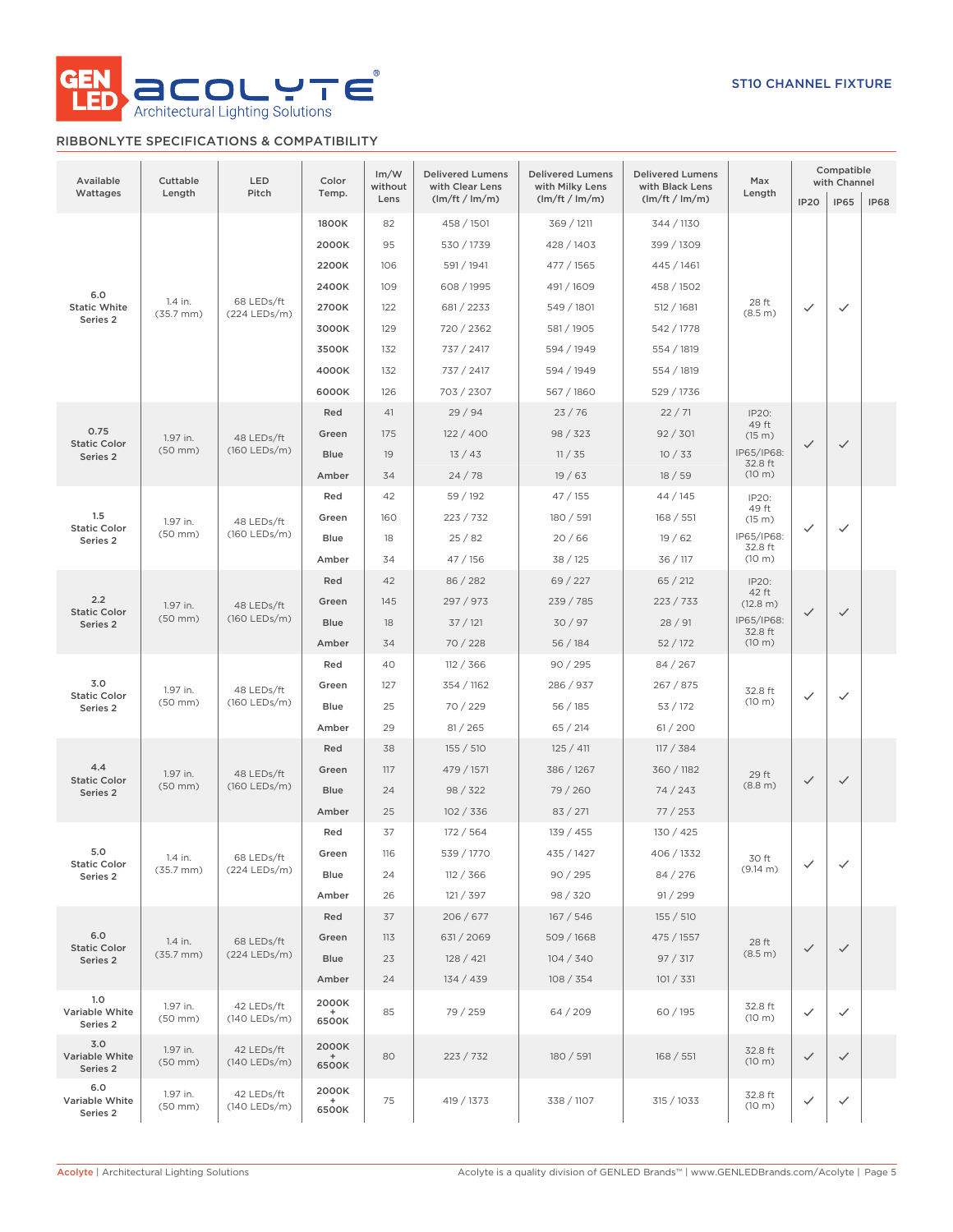

# RIBBONLYTE SPECIFICATIONS & COMPATIBILITY

| Available<br>Wattages             | Cuttable<br>Length               | LED<br>Pitch                 | Color<br>Temp.        | Im/W<br>without<br>Lens | <b>Delivered Lumens</b><br>with Clear Lens<br>(lm/ft / lm/m) | <b>Delivered Lumens</b><br>with Milky Lens<br>(lm/ft / lm/m) | <b>Delivered Lumens</b><br>with Black Lens<br>(lm/ft / lm/m) | Max<br>Length         | <b>IP20</b>  | Compatible<br>with Channel<br><b>IP65</b> | <b>IP68</b> |
|-----------------------------------|----------------------------------|------------------------------|-----------------------|-------------------------|--------------------------------------------------------------|--------------------------------------------------------------|--------------------------------------------------------------|-----------------------|--------------|-------------------------------------------|-------------|
|                                   |                                  |                              | 1800K<br>2000K        | 82<br>95                | 458 / 1501<br>530 / 1739                                     | 369 / 1211<br>428 / 1403                                     | 344 / 1130<br>399 / 1309                                     |                       |              |                                           |             |
|                                   |                                  |                              | 2200K                 | 106                     | 591 / 1941                                                   | 477 / 1565                                                   | 445 / 1461                                                   |                       |              |                                           |             |
| 6.0                               |                                  |                              | 2400K                 | 109                     | 608 / 1995                                                   | 491 / 1609                                                   | 458 / 1502                                                   |                       |              |                                           |             |
| <b>Static White</b>               | 1.4 in.<br>$(35.7$ mm $)$        | 68 LEDs/ft<br>(224 LEDs/m)   | 2700K                 | 122                     | 681 / 2233                                                   | 549 / 1801                                                   | 512 / 1681                                                   | 28 ft<br>(8.5 m)      | ✓            | $\checkmark$                              |             |
| Series <sub>2</sub>               |                                  |                              | 3000K                 | 129                     | 720 / 2362                                                   | 581 / 1905                                                   | 542 / 1778                                                   |                       |              |                                           |             |
|                                   |                                  |                              | 3500K                 | 132                     | 737 / 2417                                                   | 594 / 1949                                                   | 554 / 1819                                                   |                       |              |                                           |             |
|                                   |                                  |                              | 4000K                 | 132                     | 737 / 2417                                                   | 594 / 1949                                                   | 554 / 1819                                                   |                       |              |                                           |             |
|                                   |                                  |                              | 6000K                 | 126                     | 703 / 2307                                                   | 567 / 1860                                                   | 529 / 1736                                                   |                       |              |                                           |             |
|                                   |                                  |                              | Red                   | 41                      | 29/94                                                        | 23/76                                                        | 22/71                                                        | IP20:<br>49 ft        |              |                                           |             |
| 0.75<br><b>Static Color</b>       | 1.97 in.                         | 48 LEDs/ft                   | Green                 | 175                     | 122 / 400                                                    | 98 / 323                                                     | 92 / 301                                                     | (15 m)                | $\checkmark$ | $\checkmark$                              |             |
| Series 2                          | $(50$ mm $)$                     | (160 LEDs/m)                 | <b>Blue</b>           | 19                      | 13/43                                                        | 11 / 35                                                      | 10/33                                                        | IP65/IP68:<br>32.8 ft |              |                                           |             |
|                                   |                                  |                              | Amber                 | 34                      | 24/78                                                        | 19/63                                                        | 18/59                                                        | (10 m)                |              |                                           |             |
|                                   |                                  |                              | Red                   | 42                      | 59 / 192                                                     | 47/155                                                       | 44/145                                                       | IP20:<br>49 ft        | $\checkmark$ |                                           |             |
| 1.5<br><b>Static Color</b>        | 1.97 in.                         | 48 LEDs/ft                   | Green                 | 160                     | 223 / 732                                                    | 180 / 591                                                    | 168 / 551                                                    | (15 m)                |              | $\checkmark$                              |             |
| Series 2                          | $(50$ mm $)$                     | (160 LEDs/m)                 | <b>Blue</b>           | 18                      | 25/82                                                        | 20/66                                                        | 19/62                                                        | IP65/IP68:<br>32.8 ft |              |                                           |             |
|                                   |                                  |                              | Amber                 | 34                      | 47 / 156                                                     | 38 / 125                                                     | 36 / 117                                                     | (10 m)                |              |                                           |             |
|                                   | 1.97 in.<br>$(50$ mm $)$         |                              | Red                   | 42                      | 86 / 282                                                     | 69 / 227                                                     | 65 / 212                                                     | IP20:<br>42 ft        | $\checkmark$ |                                           |             |
| 2.2<br><b>Static Color</b>        |                                  | 48 LEDs/ft<br>(160 LEDs/m)   | Green                 | 145                     | 297 / 973                                                    | 239 / 785                                                    | 223 / 733                                                    | (12.8 m)              |              | $\checkmark$                              |             |
| Series 2                          |                                  |                              | <b>Blue</b>           | 18                      | 37/121                                                       | 30/97                                                        | 28/91                                                        | IP65/IP68:<br>32.8 ft |              |                                           |             |
|                                   |                                  |                              | Amber                 | 34                      | 70/228                                                       | 56 / 184                                                     | 52 / 172                                                     | (10 m)                |              |                                           |             |
|                                   | 1.97 in.<br>$(50$ mm $)$         |                              | Red                   | 40                      | 112 / 366                                                    | 90 / 295                                                     | 84/267                                                       |                       | $\checkmark$ |                                           |             |
| 3.0<br><b>Static Color</b>        |                                  | 48 LEDs/ft<br>(160 LEDs/m)   | Green                 | 127                     | 354 / 1162                                                   | 286 / 937                                                    | 267 / 875                                                    | 32.8 ft<br>(10 m)     |              | $\checkmark$                              |             |
| Series 2                          |                                  |                              | <b>Blue</b>           | 25                      | 70 / 229                                                     | 56/185                                                       | 53/172                                                       |                       |              |                                           |             |
|                                   |                                  |                              | Amber                 | 29                      | 81 / 265                                                     | 65 / 214                                                     | 61/200                                                       |                       |              |                                           |             |
|                                   | 1.97 in.<br>$(50$ mm $)$         |                              | Red                   | 38                      | 155 / 510                                                    | 125 / 411                                                    | 117 / 384                                                    |                       |              |                                           |             |
| 4.4<br><b>Static Color</b>        |                                  | 48 LEDs/ft<br>(160 LEDs/m)   | Green                 | 117                     | 479 / 1571                                                   | 386 / 1267                                                   | 360 / 1182                                                   | 29 ft                 | $\checkmark$ | $\checkmark$                              |             |
| Series 2                          |                                  |                              | <b>Blue</b>           | 24                      | 98 / 322                                                     | 79 / 260                                                     | 74/243                                                       | (8.8 m)               |              |                                           |             |
|                                   |                                  |                              | Amber                 | 25                      | 102 / 336                                                    | 83 / 271                                                     | 77/253                                                       |                       |              |                                           |             |
|                                   |                                  |                              | Red                   | 37                      | 172 / 564                                                    | 139 / 455                                                    | 130 / 425                                                    |                       |              |                                           |             |
| 5.0<br><b>Static Color</b>        | 1.4 in.                          | 68 LEDs/ft                   | Green                 | 116                     | 539 / 1770                                                   | 435 / 1427                                                   | 406 / 1332                                                   | 30 ft<br>(9.14 m)     | ✓            | ✓                                         |             |
| Series 2                          | (35.7 mm)                        | (224 LEDs/m)                 | <b>Blue</b>           | 24                      | 112 / 366                                                    | 90/295                                                       | 84 / 276                                                     |                       |              |                                           |             |
|                                   |                                  |                              | Amber                 | 26                      | 121 / 397                                                    | 98 / 320                                                     | 91 / 299                                                     |                       |              |                                           |             |
|                                   |                                  |                              | Red                   | 37                      | 206/677                                                      | 167 / 546                                                    | 155 / 510                                                    |                       |              |                                           |             |
| 6.0<br><b>Static Color</b>        | 1.4 in.<br>$(35.7 \, \text{mm})$ | 68 LEDs/ft<br>(224 LEDs/m)   | Green                 | 113                     | 631/2069                                                     | 509/1668                                                     | 475 / 1557                                                   | 28 ft<br>(8.5 m)      | $\checkmark$ | $\checkmark$                              |             |
| Series 2                          |                                  |                              | <b>Blue</b>           | 23                      | 128 / 421                                                    | 104 / 340                                                    | 97 / 317                                                     |                       |              |                                           |             |
|                                   |                                  |                              | Amber                 | 24                      | 134 / 439                                                    | 108 / 354                                                    | 101 / 331                                                    |                       |              |                                           |             |
| 1.0<br>Variable White<br>Series 2 | 1.97 in.<br>$(50$ mm $)$         | 42 LEDs/ft<br>(140 LEDs/m)   | 2000K<br>6500K        | 85                      | 79 / 259                                                     | 64 / 209                                                     | 60 / 195                                                     | 32.8 ft<br>(10 m)     | $\checkmark$ | $\checkmark$                              |             |
| 3.0<br>Variable White<br>Series 2 | 1.97 in.<br>$(50$ mm $)$         | 42 LEDs/ft<br>$(140$ LEDs/m) | 2000K<br>$+$<br>6500K | 80                      | 223 / 732                                                    | 180 / 591                                                    | 168 / 551                                                    | 32.8 ft<br>(10 m)     | $\checkmark$ | $\checkmark$                              |             |
| 6.0<br>Variable White<br>Series 2 | 1.97 in.<br>(50 mm)              | 42 LEDs/ft<br>(140 LEDs/m)   | 2000K<br>$+$<br>6500K | 75                      | 419 / 1373                                                   | 338 / 1107                                                   | 315 / 1033                                                   | 32.8 ft<br>(10 m)     | ✓            | ✓                                         |             |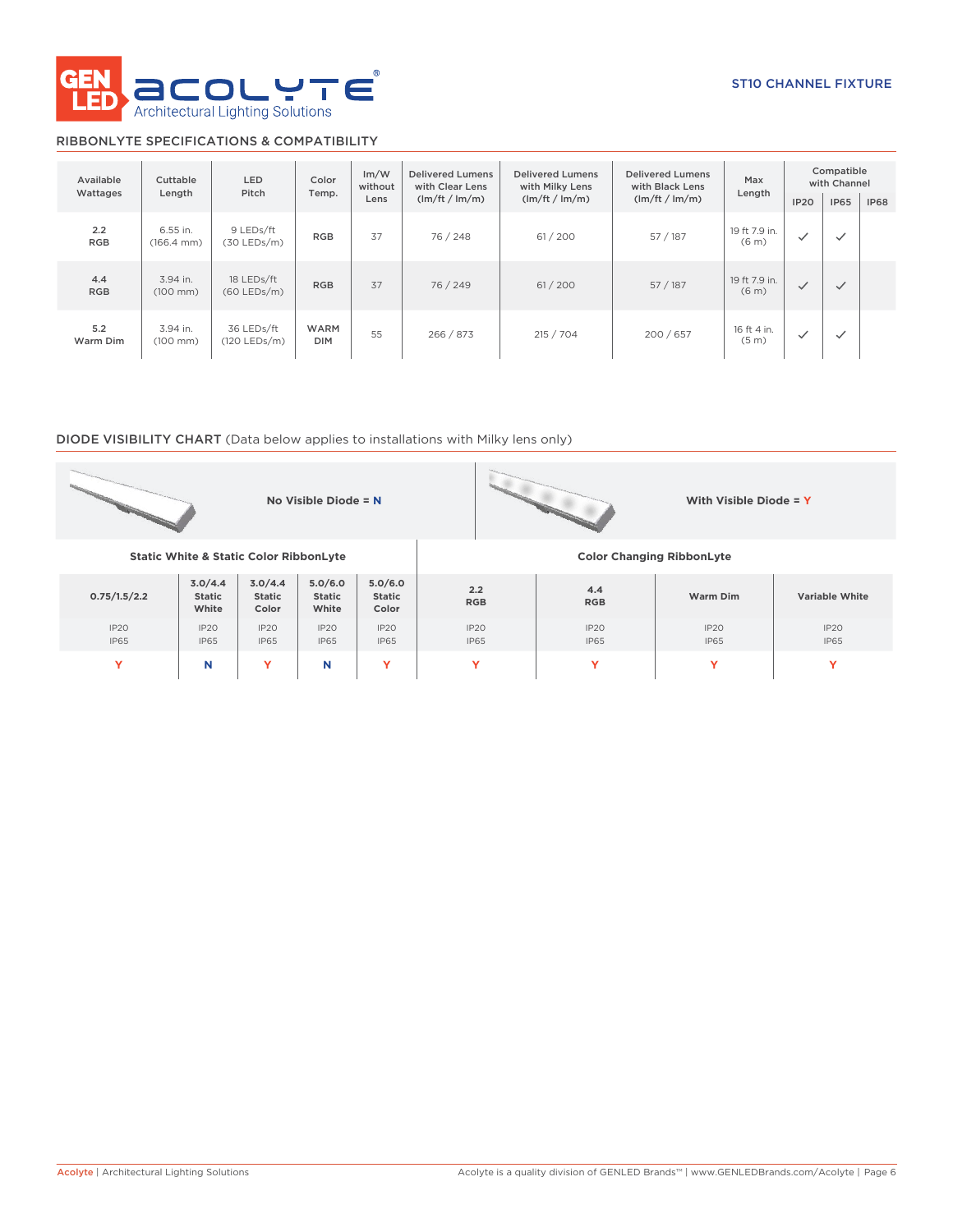

# RIBBONLYTE SPECIFICATIONS & COMPATIBILITY

| Available<br>Wattages | Cuttable<br>Length               | <b>LED</b><br>Pitch               | Color<br>Temp.            | Im/W<br>without<br>Lens | <b>Delivered Lumens</b><br>with Clear Lens<br>(lm/ft / lm/m) | <b>Delivered Lumens</b><br>with Milky Lens<br>(lm/ft / lm/m) | <b>Delivered Lumens</b><br>Max<br>with Black Lens<br>Length<br>(lm/ft / lm/m) |                                    | Compatible<br>with Channel<br><b>IP65</b><br>IP <sub>20</sub> |              | <b>IP68</b> |
|-----------------------|----------------------------------|-----------------------------------|---------------------------|-------------------------|--------------------------------------------------------------|--------------------------------------------------------------|-------------------------------------------------------------------------------|------------------------------------|---------------------------------------------------------------|--------------|-------------|
| 2.2<br><b>RGB</b>     | 6.55 in.<br>$(166.4 \text{ mm})$ | 9 LEDs/ft<br>$(30 \text{LEDs/m})$ | <b>RGB</b>                | 37                      | 76 / 248                                                     | 61/200                                                       | 57 / 187                                                                      | 19 ft 7.9 in.<br>(6 <sub>m</sub> ) | $\checkmark$                                                  | $\checkmark$ |             |
| 4.4<br><b>RGB</b>     | 3.94 in.<br>$(100 \, \text{mm})$ | 18 LEDs/ft<br>$(60$ LEDs/m)       | <b>RGB</b>                | 37                      | 76 / 249                                                     | 61/200                                                       | 57/187                                                                        | 19 ft 7.9 in.<br>(6 <sub>m</sub> ) | $\checkmark$                                                  | $\checkmark$ |             |
| 5.2<br>Warm Dim       | 3.94 in.<br>$(100 \, \text{mm})$ | 36 LEDs/ft<br>$(120$ LEDs/m)      | <b>WARM</b><br><b>DIM</b> | 55                      | 266 / 873                                                    | 215 / 704                                                    | 200/657                                                                       | 16 ft 4 in.<br>(5 <sub>m</sub> )   | $\checkmark$                                                  | $\checkmark$ |             |

## DIODE VISIBILITY CHART (Data below applies to installations with Milky lens only)

|                     |                                                   |                                   | No Visible Diode = $N$     |                            |                                  |                                 | With Visible Diode = $Y$ |                       |  |  |  |
|---------------------|---------------------------------------------------|-----------------------------------|----------------------------|----------------------------|----------------------------------|---------------------------------|--------------------------|-----------------------|--|--|--|
|                     | <b>Static White &amp; Static Color RibbonLyte</b> |                                   |                            |                            | <b>Color Changing RibbonLyte</b> |                                 |                          |                       |  |  |  |
| 0.75/1.5/2.2        | 3.0/4.4<br><b>Static</b><br>White                 | 3.0/4.4<br><b>Static</b><br>Color | 5.0/6.0<br>Static<br>White | 5.0/6.0<br>Static<br>Color | 2.2<br><b>RGB</b>                | 4.4<br><b>RGB</b>               | Warm Dim                 | <b>Variable White</b> |  |  |  |
| IP20<br><b>IP65</b> | IP2O<br><b>IP65</b>                               | IP20<br><b>IP65</b>               | IP20<br><b>IP65</b>        | IP20<br><b>IP65</b>        | IP20<br><b>IP65</b>              | IP <sub>20</sub><br><b>IP65</b> | IP20<br><b>IP65</b>      | IP20<br><b>IP65</b>   |  |  |  |
| Y                   | N                                                 | Y                                 | N                          | Y                          | Ÿ                                | Y                               | Y                        | v                     |  |  |  |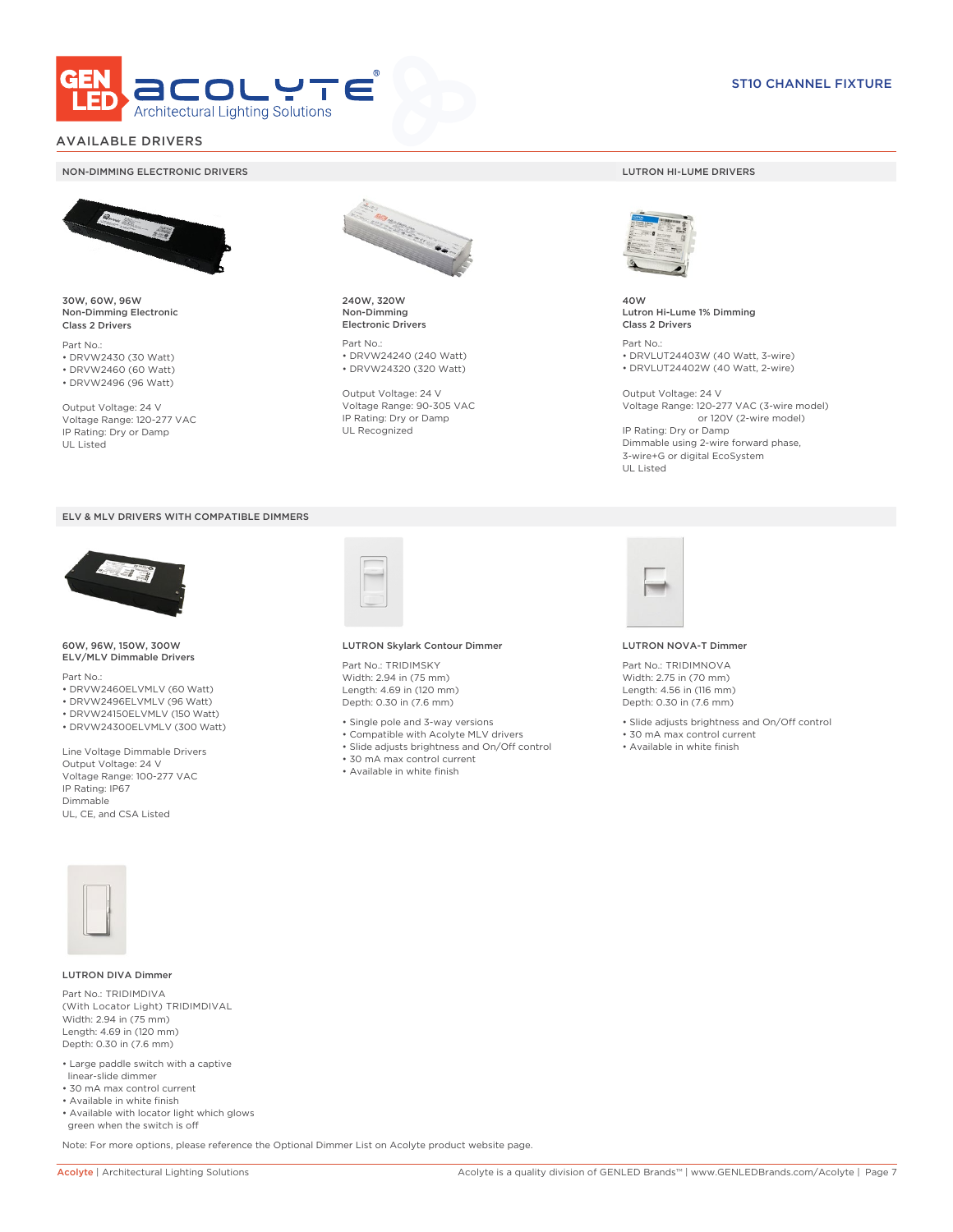

# AVAILABLE DRIVERS

### NON-DIMMING ELECTRONIC DRIVERS LUTRON HI-LUME DRIVERS



30W, 60W, 96W Non-Dimming Electronic Class 2 Drivers

Part No.: • DRVW2430 (30 Watt) • DRVW2460 (60 Watt)

• DRVW2496 (96 Watt)

Output Voltage: 24 V Voltage Range: 120-277 VAC IP Rating: Dry or Damp UL Listed





60W, 96W, 150W, 300W ELV/MLV Dimmable Drivers

Part No.:

- DRVW2460ELVMLV (60 Watt)
- DRVW2496ELVMLV (96 Watt)
- DRVW24150ELVMLV (150 Watt)
- DRVW24300ELVMLV (300 Watt)

Line Voltage Dimmable Drivers Output Voltage: 24 V Voltage Range: 100-277 VAC IP Rating: IP67 Dimmable UL, CE, and CSA Listed



240W, 320W Non-Dimming Electronic Drivers

Part No.: • DRVW24240 (240 Watt) • DRVW24320 (320 Watt)

Output Voltage: 24 V Voltage Range: 90-305 VAC IP Rating: Dry or Damp UL Recognized



40W Lutron Hi-Lume 1% Dimming Class 2 Drivers

Part No.: • DRVLUT24403W (40 Watt, 3-wire) • DRVLUT24402W (40 Watt, 2-wire)

Output Voltage: 24 V Voltage Range: 120-277 VAC (3-wire model) or 120V (2-wire model) IP Rating: Dry or Damp Dimmable using 2-wire forward phase, 3-wire+G or digital EcoSystem UL Listed



#### LUTRON Skylark Contour Dimmer

Part No.: TRIDIMSKY Width: 2.94 in (75 mm) Length: 4.69 in (120 mm) Depth: 0.30 in (7.6 mm)

- Single pole and 3-way versions
- Compatible with Acolyte MLV drivers
- Slide adjusts brightness and On/Off control
- 30 mA max control current
- Available in white finish



#### LUTRON NOVA-T Dimmer

Part No.: TRIDIMNOVA Width: 2.75 in (70 mm) Length: 4.56 in (116 mm) Depth: 0.30 in (7.6 mm)

- Slide adjusts brightness and On/Off control
- 30 mA max control current
- Available in white finish



### LUTRON DIVA Dimmer

Part No.: TRIDIMDIVA (With Locator Light) TRIDIMDIVAL Width: 2.94 in (75 mm) Length: 4.69 in (120 mm) Depth: 0.30 in (7.6 mm)

- Large paddle switch with a captive linear-slide dimmer
- 30 mA max control current
- Available in white finish
- Available with locator light which glows green when the switch is off

Note: For more options, please reference the Optional Dimmer List on Acolyte product website page.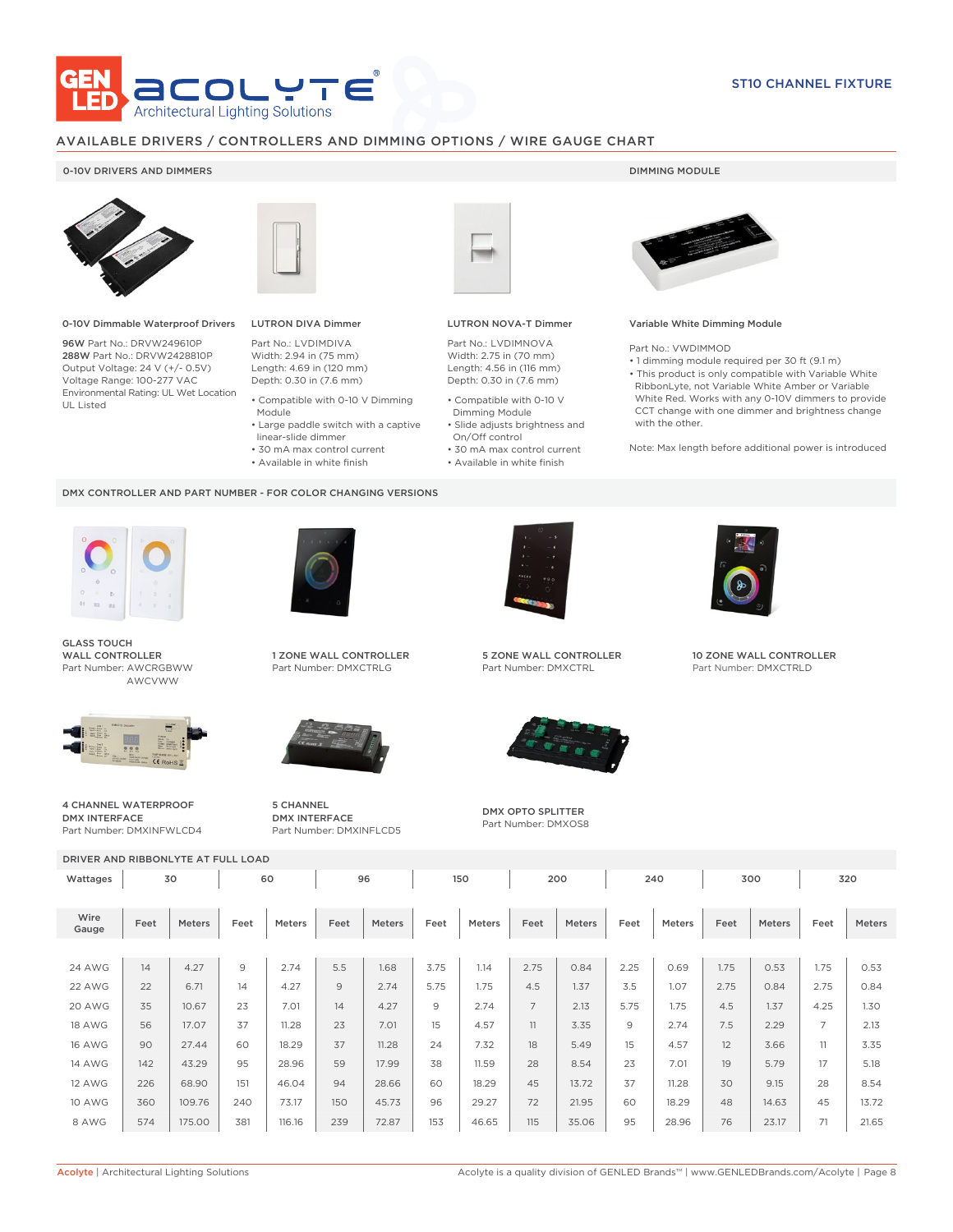

# AVAILABLE DRIVERS / CONTROLLERS AND DIMMING OPTIONS / WIRE GAUGE CHART

### 0-10V DRIVERS AND DIMMERS **DIMMING MODULE**



0-10V Dimmable Waterproof Drivers

96W Part No.: DRVW249610P 288W Part No.: DRVW2428810P Output Voltage: 24 V (+/- 0.5V) Voltage Range: 100-277 VAC Environmental Rating: UL Wet Location UL Listed



# LUTRON DIVA Dimmer

Part No.: LVDIMDIVA Width: 2.94 in (75 mm) Length: 4.69 in (120 mm) Depth: 0.30 in (7.6 mm)

- Compatible with 0-10 V Dimming Module
- Large paddle switch with a captive
- linear-slide dimmer
- 30 mA max control current
- Available in white finish

### DMX CONTROLLER AND PART NUMBER - FOR COLOR CHANGING VERSIONS



GLASS TOUCH WALL CONTROLLER Part Number: AWCRGBWW AWCVWW



4 CHANNEL WATERPROOF DMX INTERFACE Part Number: DMXINFWLCD4



1 ZONE WALL CONTROLLER Part Number: DMXCTRLG



5 CHANNEL DMX INTERFACE Part Number: DMXINFLCD5



### LUTRON NOVA-T Dimmer

Part No.: LVDIMNOVA Width: 2.75 in (70 mm) Length: 4.56 in (116 mm) Depth: 0.30 in (7.6 mm)

- Compatible with 0-10 V Dimming Module
- Slide adjusts brightness and On/Off control
- 30 mA max control current
- Available in white finish



### Variable White Dimming Module

Part No.: VWDIMMOD

• 1 dimming module required per 30 ft (9.1 m) • This product is only compatible with Variable White RibbonLyte, not Variable White Amber or Variable White Red. Works with any 0-10V dimmers to provide CCT change with one dimmer and brightness change with the other.

Note: Max length before additional power is introduced



5 ZONE WALL CONTROLLER Part Number: DMXCTRL



DMX OPTO SPLITTER Part Number: DMXOS8



10 ZONE WALL CONTROLLER Part Number: DMXCTRLD

DRIVER AND RIBBONLYTE AT FULL LOAD

| DRIVER AND RIBBONLYTE AT FULL LOAD |      |               |      |               |      |        |      |               |                |        |      |        |      |               |                |        |
|------------------------------------|------|---------------|------|---------------|------|--------|------|---------------|----------------|--------|------|--------|------|---------------|----------------|--------|
| Wattages                           | 30   |               | 60   |               | 96   |        | 150  |               | 200            |        | 240  |        | 300  |               | 320            |        |
| Wire<br>Gauge                      | Feet | <b>Meters</b> | Feet | <b>Meters</b> | Feet | Meters | Feet | <b>Meters</b> | Feet           | Meters | Feet | Meters | Feet | <b>Meters</b> | Feet           | Meters |
|                                    |      |               |      |               |      |        |      |               |                |        |      |        |      |               |                |        |
| 24 AWG                             | 14   | 4.27          | 9    | 2.74          | 5.5  | 1.68   | 3.75 | 1.14          | 2.75           | 0.84   | 2.25 | 0.69   | 1.75 | 0.53          | 1.75           | 0.53   |
| 22 AWG                             | 22   | 6.71          | 14   | 4.27          | 9    | 2.74   | 5.75 | 1.75          | 4.5            | 1.37   | 3.5  | 1.07   | 2.75 | 0.84          | 2.75           | 0.84   |
| 20 AWG                             | 35   | 10.67         | 23   | 7.01          | 14   | 4.27   | 9    | 2.74          | $\overline{7}$ | 2.13   | 5.75 | 1.75   | 4.5  | 1.37          | 4.25           | 1.30   |
| <b>18 AWG</b>                      | 56   | 17.07         | 37   | 11.28         | 23   | 7.01   | 15   | 4.57          | 11             | 3.35   | 9    | 2.74   | 7.5  | 2.29          | $\overline{7}$ | 2.13   |
| <b>16 AWG</b>                      | 90   | 27.44         | 60   | 18.29         | 37   | 11.28  | 24   | 7.32          | 18             | 5.49   | 15   | 4.57   | 12   | 3.66          | 11             | 3.35   |
| <b>14 AWG</b>                      | 142  | 43.29         | 95   | 28.96         | 59   | 17.99  | 38   | 11.59         | 28             | 8.54   | 23   | 7.01   | 19   | 5.79          | 17             | 5.18   |
| <b>12 AWG</b>                      | 226  | 68.90         | 151  | 46.04         | 94   | 28.66  | 60   | 18.29         | 45             | 13.72  | 37   | 11.28  | 30   | 9.15          | 28             | 8.54   |
| <b>10 AWG</b>                      | 360  | 109.76        | 240  | 73.17         | 150  | 45.73  | 96   | 29.27         | 72             | 21.95  | 60   | 18.29  | 48   | 14.63         | 45             | 13.72  |
| 8 AWG                              | 574  | 175.00        | 381  | 116.16        | 239  | 72.87  | 153  | 46.65         | 115            | 35.06  | 95   | 28.96  | 76   | 23.17         | 71             | 21.65  |